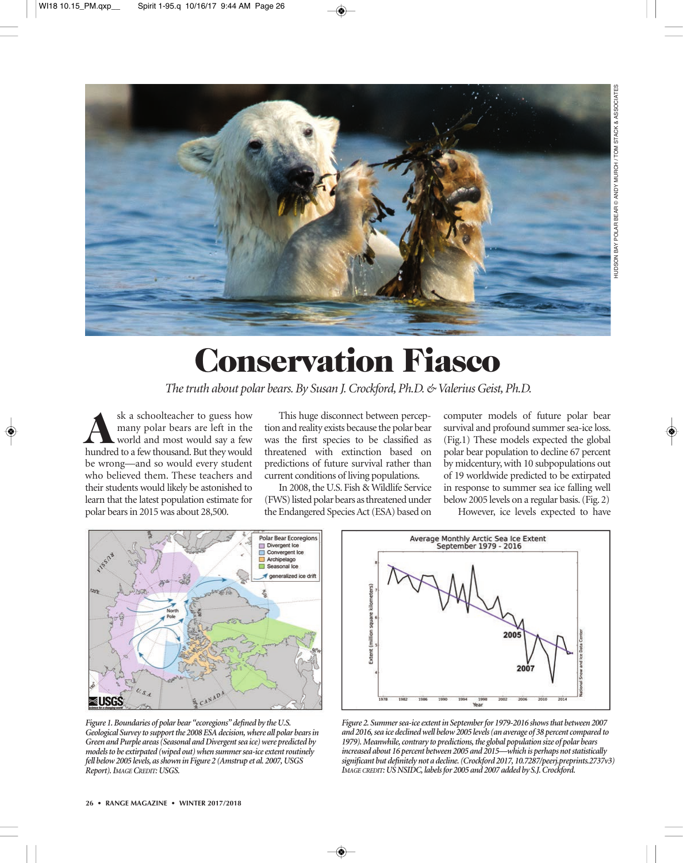

## **Conservation Fiasco**

*The truth about polar bears. By Susan J. Crockford, Ph.D. & Valerius Geist, Ph.D.*

sk a schoolteacher to guess how<br>many polar bears are left in the<br>world and most would say a few<br>hundred to a few thousand But they would many polar bears are left in the world and most would say a few hundred to a few thousand. But they would be wrong—and so would every student who believed them. These teachers and their students would likely be astonished to learn that the latest population estimate for polar bears in 2015 was about 28,500.

This huge disconnect between perception and reality exists because the polar bear was the first species to be classified as threatened with extinction based on predictions of future survival rather than current conditions of living populations.

 In 2008, the U.S. Fish & Wildlife Service (FWS) listed polar bears as threatened under the Endangered Species Act (ESA) based on

computer models of future polar bear survival and profound summer sea-ice loss. (Fig.1) These models expected the global polar bear population to decline 67 percent by midcentury, with 10 subpopulations out of 19 worldwide predicted to be extirpated in response to summer sea ice falling well below 2005 levels on a regular basis. (Fig. 2)

However, ice levels expected to have



*Figure 1. Boundaries of polar bear "ecoregions" defined by the U.S. Geological Survey to support the 2008 ESA decision, where all polar bears in Green and Purple areas (Seasonal and Divergent sea ice) were predicted by models to be extirpated (wiped out) when summer sea-ice extent routinely fell below 2005 levels, as shown in Figure 2 (Amstrup et al. 2007, USGS Report). IMAGECREDIT: USGS.* 



*Figure 2. Summer sea-ice extent in September for 1979-2016 shows that between 2007 and 2016, sea ice declined well below 2005 levels (an average of 38 percent compared to 1979). Meanwhile, contrary to predictions, the global population size of polar bears increased about 16 percent between 2005 and 2015—which is perhaps not statistically significant but definitely not a decline. (Crockford 2017, 10.7287/peerj.preprints.2737v3) IMAGE CREDIT: US NSIDC, labels for 2005 and 2007 added by S.J. Crockford.*